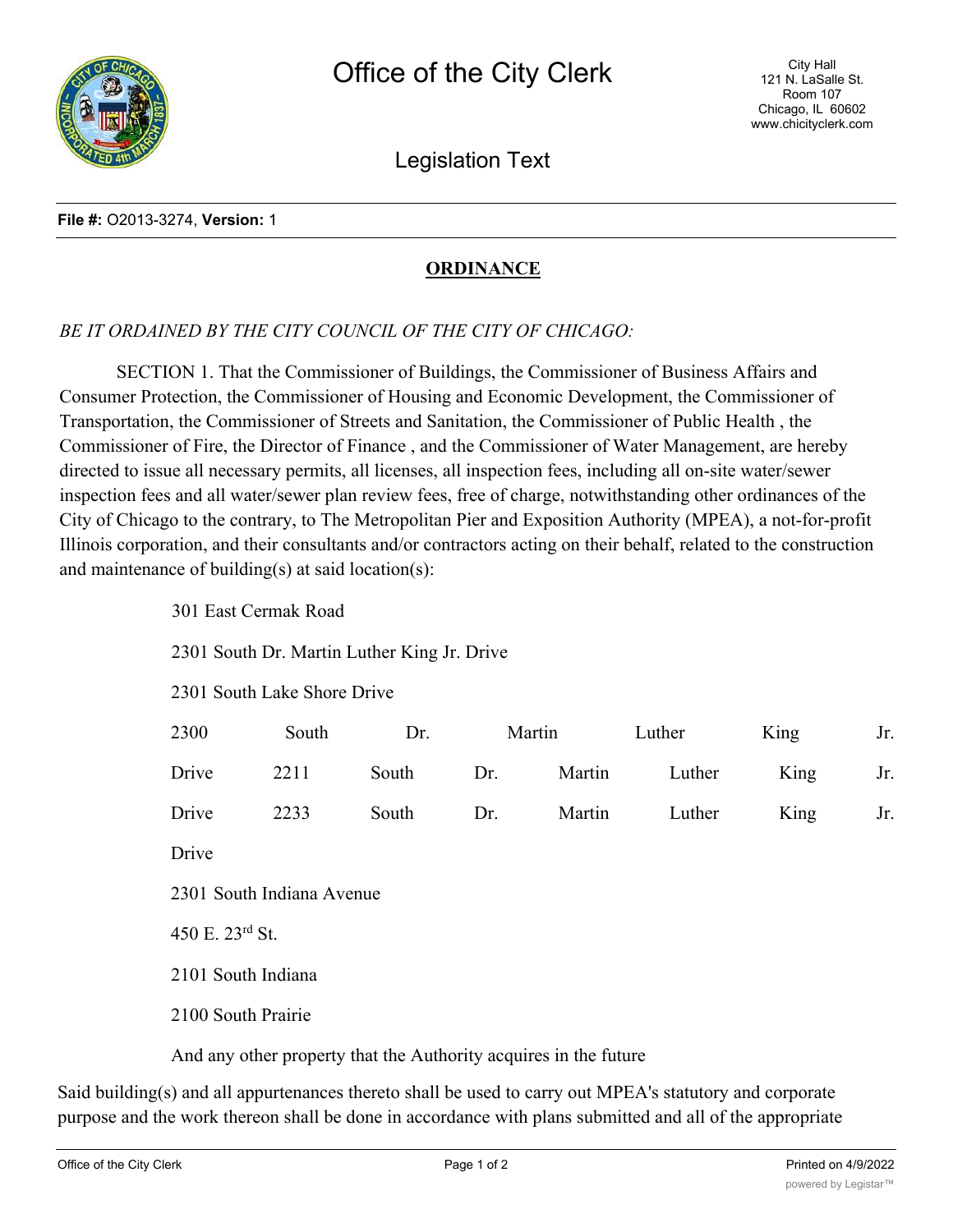

Legislation Text

## **File #:** O2013-3274, **Version:** 1

## **ORDINANCE**

## *BE IT ORDAINED BY THE CITY COUNCIL OF THE CITY OF CHICAGO:*

SECTION 1. That the Commissioner of Buildings, the Commissioner of Business Affairs and Consumer Protection, the Commissioner of Housing and Economic Development, the Commissioner of Transportation, the Commissioner of Streets and Sanitation, the Commissioner of Public Health , the Commissioner of Fire, the Director of Finance , and the Commissioner of Water Management, are hereby directed to issue all necessary permits, all licenses, all inspection fees, including all on-site water/sewer inspection fees and all water/sewer plan review fees, free of charge, notwithstanding other ordinances of the City of Chicago to the contrary, to The Metropolitan Pier and Exposition Authority (MPEA), a not-for-profit Illinois corporation, and their consultants and/or contractors acting on their behalf, related to the construction and maintenance of building(s) at said location(s):

2301 South Dr. Martin Luther King Jr. Drive

2301 South Lake Shore Drive

| 2300                      | South | Dr.   | Martin |        | Luther | King | Jr. |
|---------------------------|-------|-------|--------|--------|--------|------|-----|
| Drive                     | 2211  | South | Dr.    | Martin | Luther | King | Jr. |
| Drive                     | 2233  | South | Dr.    | Martin | Luther | King | Jr. |
| Drive                     |       |       |        |        |        |      |     |
| 2301 South Indiana Avenue |       |       |        |        |        |      |     |
| 450 E. 23rd St.           |       |       |        |        |        |      |     |
| 2101 South Indiana        |       |       |        |        |        |      |     |
| 2100 South Prairie        |       |       |        |        |        |      |     |

And any other property that the Authority acquires in the future

Said building(s) and all appurtenances thereto shall be used to carry out MPEA's statutory and corporate purpose and the work thereon shall be done in accordance with plans submitted and all of the appropriate